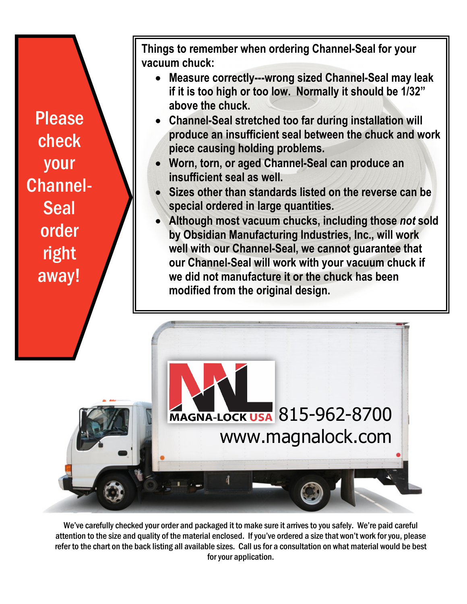Please check your Channel-**Seal** order right away!

**Things to remember when ordering Channel-Seal for your vacuum chuck:**

- **Measure correctly---wrong sized Channel-Seal may leak if it is too high or too low. Normally it should be 1/32" above the chuck.**
- **Channel-Seal stretched too far during installation will produce an insufficient seal between the chuck and work piece causing holding problems.**
- **Worn, torn, or aged Channel-Seal can produce an insufficient seal as well.**
- **Sizes other than standards listed on the reverse can be special ordered in large quantities.**
- **Although most vacuum chucks, including those** *not* **sold by Obsidian Manufacturing Industries, Inc., will work well with our Channel-Seal, we cannot guarantee that our Channel-Seal will work with your vacuum chuck if we did not manufacture it or the chuck has been modified from the original design.**

MAGNA-LOCK USA 815-962-8700 www.magnalock.com

We've carefully checked your order and packaged it to make sure it arrives to you safely. We're paid careful attention to the size and quality of the material enclosed. If you've ordered a size that won't work for you, please refer to the chart on the back listing all available sizes. Call us for a consultation on what material would be best for your application.